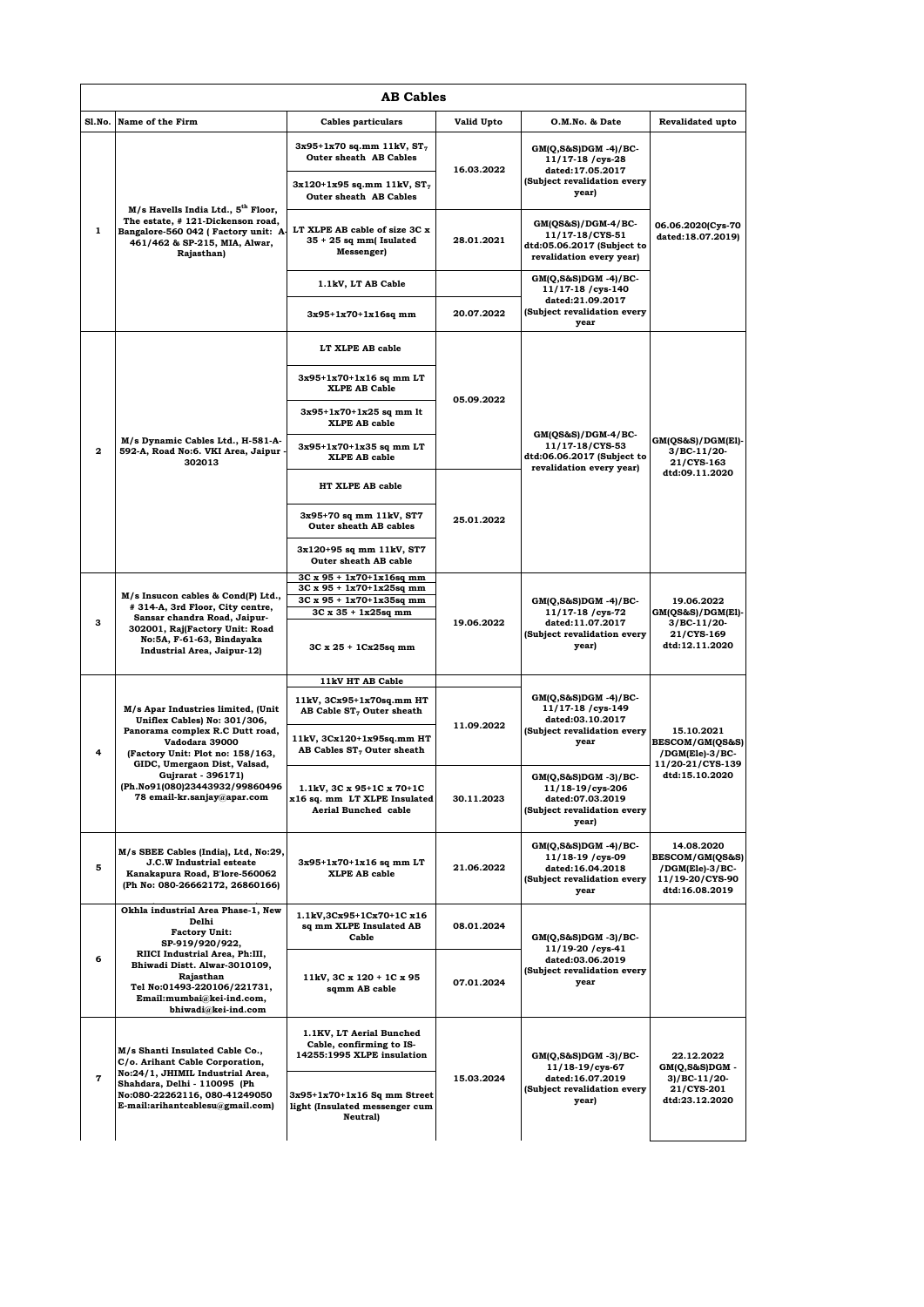|                |                                                                                                                                                                                                                                                                                    | <b>AB</b> Cables                                                                         |            |                                                                                                           |                                                                                       |
|----------------|------------------------------------------------------------------------------------------------------------------------------------------------------------------------------------------------------------------------------------------------------------------------------------|------------------------------------------------------------------------------------------|------------|-----------------------------------------------------------------------------------------------------------|---------------------------------------------------------------------------------------|
| Sl.No.         | Name of the Firm                                                                                                                                                                                                                                                                   | <b>Cables particulars</b>                                                                | Valid Upto | O.M.No. & Date                                                                                            | <b>Revalidated upto</b>                                                               |
| $\mathbf{1}$   | M/s Havells India Ltd., 5 <sup>th</sup> Floor,<br>The estate, #121-Dickenson road,<br>Bangalore-560 042 ( Factory unit: A-<br>461/462 & SP-215, MIA, Alwar,<br>Rajasthan)                                                                                                          | $3x95+1x70$ sq.mm 11kV, $ST_7$<br>Outer sheath AB Cables                                 | 16.03.2022 | $GM(Q, S&S)DGM -4)/BC$<br>$11/17-18$ / cys-28<br>dated:17.05.2017<br>(Subject revalidation every<br>year) | 06.06.2020(Cys-70<br>dated:18.07.2019)                                                |
|                |                                                                                                                                                                                                                                                                                    | $3x120+1x95$ sq.mm 11kV, $ST_7$<br><b>Outer sheath AB Cables</b>                         |            |                                                                                                           |                                                                                       |
|                |                                                                                                                                                                                                                                                                                    | LT XLPE AB cable of size 3C x<br>$35 + 25$ sq mm( Isulated<br>Messenger)                 | 28.01.2021 | GM(QS&S)/DGM-4/BC-<br>11/17-18/CYS-51<br>dtd:05.06.2017 (Subject to<br>revalidation every year)           |                                                                                       |
|                |                                                                                                                                                                                                                                                                                    | 1.1kV, LT AB Cable                                                                       |            | $GM(Q, S&S)DGM -4)/BC$<br>11/17-18 / cys-140<br>dated:21.09.2017                                          |                                                                                       |
|                |                                                                                                                                                                                                                                                                                    | 3x95+1x70+1x16sq mm                                                                      | 20.07.2022 | (Subject revalidation every<br>year                                                                       |                                                                                       |
|                | M/s Dynamic Cables Ltd., H-581-A-<br>592-A, Road No:6. VKI Area, Jaipur<br>302013                                                                                                                                                                                                  | LT XLPE AB cable                                                                         | 05.09.2022 | $GM(QS&S)/DGM-4/BC$<br>11/17-18/CYS-53<br>dtd:06.06.2017 (Subject to<br>revalidation every year)          | GM(QS&S)/DGM(E1)-<br>$3/BC-11/20-$<br>21/CYS-163<br>dtd:09.11.2020                    |
|                |                                                                                                                                                                                                                                                                                    | 3x95+1x70+1x16 sq mm LT<br><b>XLPE AB Cable</b>                                          |            |                                                                                                           |                                                                                       |
| $\mathbf{2}$   |                                                                                                                                                                                                                                                                                    | 3x95+1x70+1x25 sq mm lt<br><b>XLPE AB cable</b>                                          |            |                                                                                                           |                                                                                       |
|                |                                                                                                                                                                                                                                                                                    | 3x95+1x70+1x35 sq mm LT<br><b>XLPE AB cable</b>                                          |            |                                                                                                           |                                                                                       |
|                |                                                                                                                                                                                                                                                                                    | HT XLPE AB cable                                                                         |            |                                                                                                           |                                                                                       |
|                |                                                                                                                                                                                                                                                                                    | 3x95+70 sq mm 11kV, ST7<br>Outer sheath AB cables                                        | 25.01.2022 |                                                                                                           |                                                                                       |
|                |                                                                                                                                                                                                                                                                                    | 3x120+95 sq mm 11kV, ST7<br>Outer sheath AB cable                                        |            |                                                                                                           |                                                                                       |
|                |                                                                                                                                                                                                                                                                                    | $3C \times 95 + 1x70 + 1x16$ sq mm                                                       | 19.06.2022 | $GM(Q, S&S)DGM -4)/BC$<br>11/17-18 / cys-72<br>dated:11.07.2017<br>(Subject revalidation every<br>year)   | 19.06.2022<br>GM(QS&S)/DGM(El)-<br>3/BC-11/20-<br><b>21/CYS-169</b><br>dtd:12.11.2020 |
|                | M/s Insucon cables & Cond(P) Ltd.,<br># 314-A, 3rd Floor, City centre,<br>Sansar chandra Road, Jaipur-<br>302001, Raj(Factory Unit: Road<br>No:5A, F-61-63, Bindayaka<br>Industrial Area, Jaipur-12)                                                                               | $3C \times 95 + 1x70 + 1x25$ sq mm<br>$3C \times 95 + 1x70 + 1x35$ sq mm                 |            |                                                                                                           |                                                                                       |
|                |                                                                                                                                                                                                                                                                                    | 3C x 35 + 1x25sq mm                                                                      |            |                                                                                                           |                                                                                       |
| 3              |                                                                                                                                                                                                                                                                                    | 3C x 25 + 1Cx25sq mm                                                                     |            |                                                                                                           |                                                                                       |
|                |                                                                                                                                                                                                                                                                                    | 11kV HT AB Cable                                                                         |            |                                                                                                           |                                                                                       |
| 4              | M/s Apar Industries limited, (Unit<br>Uniflex Cables) No: 301/306,<br>Panorama complex R.C Dutt road,<br>Vadodara 39000<br>(Factory Unit: Plot no: 158/163,<br>GIDC, Umergaon Dist, Valsad,<br>Gujrarat - 396171)<br>(Ph.No91(080)23443932/99860496<br>78 email-kr.sanjay@apar.com | 11kV, 3Cx95+1x70sq.mm HT<br>AB Cable $ST7$ Outer sheath                                  | 11.09.2022 | $GM(Q, S\&S)DGM -4)/BC-$<br>11/17-18 / cys-149<br>dated:03.10.2017<br>(Subject revalidation every<br>year | 15.10.2021<br>BESCOM/GM(QS&S)<br>$/$ DGM(Ele)-3/BC-                                   |
|                |                                                                                                                                                                                                                                                                                    | 11kV, 3Cx120+1x95sq.mm HT<br>AB Cables $ST7$ Outer sheath                                |            |                                                                                                           |                                                                                       |
|                |                                                                                                                                                                                                                                                                                    | 1.1kV, 3C x 95+1C x 70+1C<br>x16 sq. mm LT XLPE Insulated<br><b>Aerial Bunched cable</b> | 30.11.2023 | GM(Q,S&S)DGM -3)/BC-<br>11/18-19/cys-206<br>dated:07.03.2019<br>(Subject revalidation every<br>year)      | 11/20-21/CYS-139<br>dtd:15.10.2020                                                    |
|                | M/s SBEE Cables (India), Ltd, No:29,                                                                                                                                                                                                                                               |                                                                                          | 21.06.2022 | $GM(Q, S&S)DGM -4)/BC$<br>11/18-19 / cys-09<br>dated:16.04.2018<br>(Subject revalidation every<br>year    | 14.08.2020<br>BESCOM/GM(QS&S)<br>/DGM(Ele)-3/BC-<br>11/19-20/CYS-90<br>dtd:16.08.2019 |
| 5              | J.C.W Industrial esteate<br>Kanakapura Road, B'lore-560062<br>(Ph No: 080-26662172, 26860166)                                                                                                                                                                                      | 3x95+1x70+1x16 sq mm LT<br><b>XLPE AB cable</b>                                          |            |                                                                                                           |                                                                                       |
| 6              | Okhla industrial Area Phase-1, New<br>Delhi<br><b>Factory Unit:</b><br>SP-919/920/922,<br>RIICI Industrial Area, Ph:III,<br>Bhiwadi Distt. Alwar-3010109,<br>Rajasthan<br>Tel No:01493-220106/221731,<br>Email:mumbai@kei-ind.com,<br>bhiwadi@kei-ind.com                          | 1.1kV,3Cx95+1Cx70+1C x16<br>sq mm XLPE Insulated AB<br>Cable                             | 08.01.2024 | $GM(Q, S\&S)DGM -3)/BC$                                                                                   |                                                                                       |
|                |                                                                                                                                                                                                                                                                                    | $11kV$ , $3C \times 120 + 1C \times 95$<br>sqmm AB cable                                 | 07.01.2024 | 11/19-20 / cys-41<br>dated:03.06.2019<br>(Subject revalidation every<br>year                              |                                                                                       |
| $\overline{7}$ | M/s Shanti Insulated Cable Co.,<br>C/o. Arihant Cable Corporation,<br>No:24/1, JHIMIL Industrial Area,<br>Shahdara, Delhi - 110095 (Ph<br>No:080-22262116, 080-41249050<br>E-mail:arihantcablesu@gmail.com)                                                                        | 1.1KV, LT Aerial Bunched<br>Cable, confirming to IS-<br>14255:1995 XLPE insulation       |            | $GM(Q, S&S)DGM -3)/BC-$<br>11/18-19/cys-67<br>dated:16.07.2019<br>(Subject revalidation every<br>year)    | 22.12.2022<br>GM(Q,S&S)DGM -<br>3)/BC-11/20-<br><b>21/CYS-201</b><br>dtd:23.12.2020   |
|                |                                                                                                                                                                                                                                                                                    | 3x95+1x70+1x16 Sq mm Street<br>light (Insulated messenger cum<br>Neutral)                | 15.03.2024 |                                                                                                           |                                                                                       |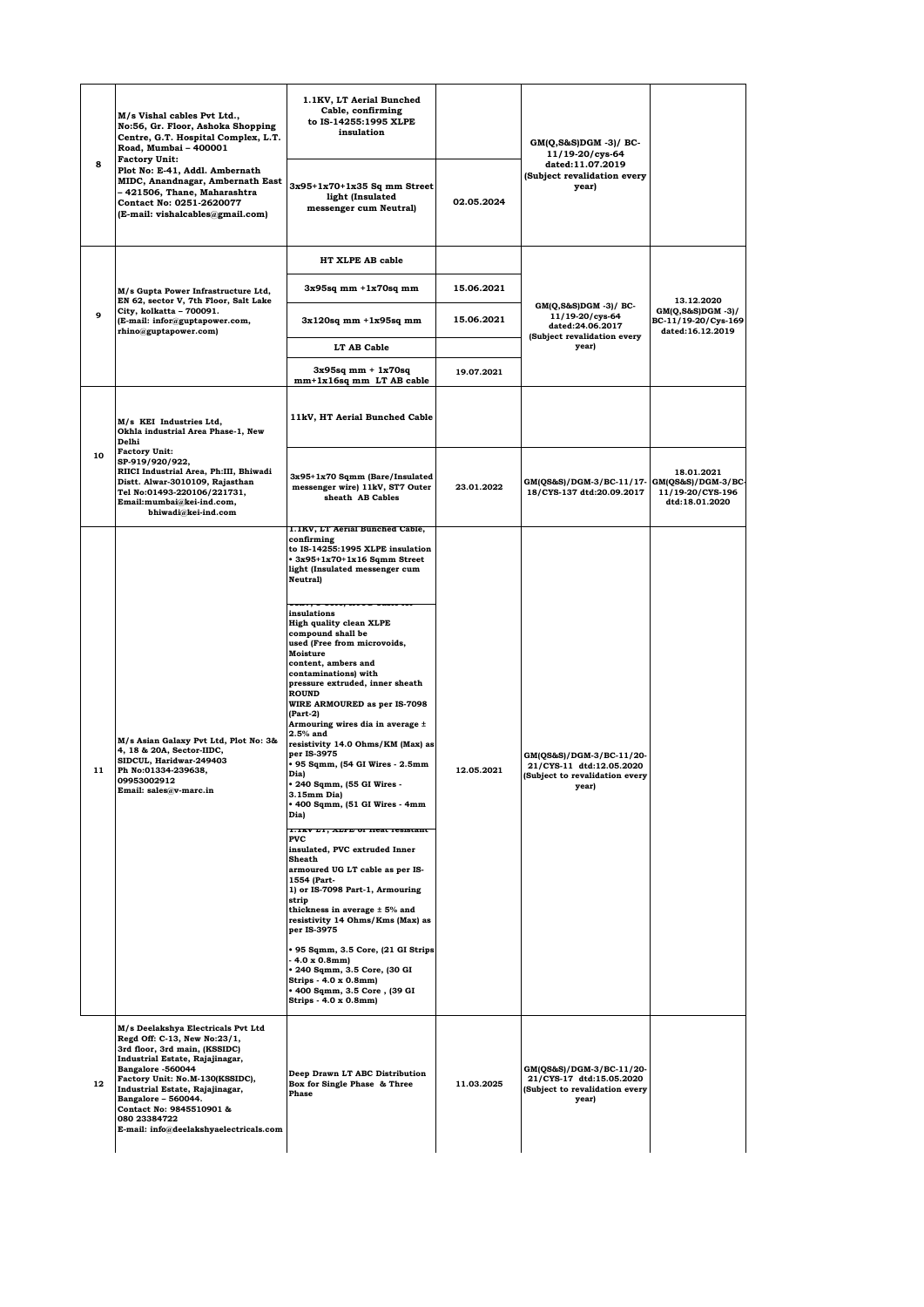| 8  | M/s Vishal cables Pvt Ltd.,<br>No:56, Gr. Floor, Ashoka Shopping<br>Centre, G.T. Hospital Complex, L.T.<br>Road, Mumbai - 400001<br><b>Factory Unit:</b><br>Plot No: E-41, Addl. Ambernath<br>MIDC, Anandnagar, Ambernath East<br>- 421506, Thane, Maharashtra<br>Contact No: 0251-2620077<br>(E-mail: vishalcables@gmail.com)                 | 1.1KV, LT Aerial Bunched<br>Cable, confirming<br>to IS-14255:1995 XLPE<br>insulation<br>3x95+1x70+1x35 Sq mm Street<br>light (Insulated<br>messenger cum Neutral)                                                                                                                                                                                                                                                                                                                                                                                                                                                                                                                                                                                                                                                                                                                                                                                                                                                                                                                                                                      | 02.05.2024 | GM(Q,S&S)DGM -3)/ BC-<br>11/19-20/cys-64<br>dated:11.07.2019<br>(Subject revalidation every<br>year) |                                                                            |
|----|------------------------------------------------------------------------------------------------------------------------------------------------------------------------------------------------------------------------------------------------------------------------------------------------------------------------------------------------|----------------------------------------------------------------------------------------------------------------------------------------------------------------------------------------------------------------------------------------------------------------------------------------------------------------------------------------------------------------------------------------------------------------------------------------------------------------------------------------------------------------------------------------------------------------------------------------------------------------------------------------------------------------------------------------------------------------------------------------------------------------------------------------------------------------------------------------------------------------------------------------------------------------------------------------------------------------------------------------------------------------------------------------------------------------------------------------------------------------------------------------|------------|------------------------------------------------------------------------------------------------------|----------------------------------------------------------------------------|
|    | M/s Gupta Power Infrastructure Ltd,<br>EN 62, sector V, 7th Floor, Salt Lake<br>City, kolkatta - 700091.<br>(E-mail: infor@guptapower.com,<br>rhino@guptapower.com)                                                                                                                                                                            | HT XLPE AB cable                                                                                                                                                                                                                                                                                                                                                                                                                                                                                                                                                                                                                                                                                                                                                                                                                                                                                                                                                                                                                                                                                                                       |            |                                                                                                      |                                                                            |
|    |                                                                                                                                                                                                                                                                                                                                                | $3x95sq$ mm $+1x70sq$ mm                                                                                                                                                                                                                                                                                                                                                                                                                                                                                                                                                                                                                                                                                                                                                                                                                                                                                                                                                                                                                                                                                                               | 15.06.2021 |                                                                                                      | 13.12.2020<br>GM(Q,S&S)DGM -3)/<br>BC-11/19-20/Cys-169<br>dated:16.12.2019 |
| 9  |                                                                                                                                                                                                                                                                                                                                                | $3x120$ sq mm + $1x95$ sq mm                                                                                                                                                                                                                                                                                                                                                                                                                                                                                                                                                                                                                                                                                                                                                                                                                                                                                                                                                                                                                                                                                                           | 15.06.2021 | GM(Q,S&S)DGM -3)/ BC-<br>11/19-20/cys-64<br>dated:24.06.2017<br>(Subject revalidation every          |                                                                            |
|    |                                                                                                                                                                                                                                                                                                                                                | LT AB Cable                                                                                                                                                                                                                                                                                                                                                                                                                                                                                                                                                                                                                                                                                                                                                                                                                                                                                                                                                                                                                                                                                                                            |            | year)                                                                                                |                                                                            |
|    |                                                                                                                                                                                                                                                                                                                                                | $3x95sq$ mm + $1x70sq$<br>mm+1x16sq mm LT AB cable                                                                                                                                                                                                                                                                                                                                                                                                                                                                                                                                                                                                                                                                                                                                                                                                                                                                                                                                                                                                                                                                                     | 19.07.2021 |                                                                                                      |                                                                            |
| 10 | M/s KEI Industries Ltd,<br>Okhla industrial Area Phase-1, New<br>Delhi                                                                                                                                                                                                                                                                         | 11kV, HT Aerial Bunched Cable                                                                                                                                                                                                                                                                                                                                                                                                                                                                                                                                                                                                                                                                                                                                                                                                                                                                                                                                                                                                                                                                                                          |            |                                                                                                      |                                                                            |
|    | <b>Factory Unit:</b><br>SP-919/920/922,<br>RIICI Industrial Area, Ph:III, Bhiwadi<br>Distt. Alwar-3010109, Rajasthan<br>Tel No:01493-220106/221731,<br>Email:mumbai@kei-ind.com,<br>bhiwadi@kei-ind.com                                                                                                                                        | 3x95+1x70 Sqmm (Bare/Insulated<br>messenger wire) 11kV, ST7 Outer<br>sheath AB Cables                                                                                                                                                                                                                                                                                                                                                                                                                                                                                                                                                                                                                                                                                                                                                                                                                                                                                                                                                                                                                                                  | 23.01.2022 | GM(QS&S)/DGM-3/BC-11/17-<br>18/CYS-137 dtd:20.09.2017                                                | 18.01.2021<br>GM(QS&S)/DGM-3/BC-<br>11/19-20/CYS-196<br>dtd:18.01.2020     |
| 11 | M/s Asian Galaxy Pvt Ltd, Plot No: 3&<br>4, 18 & 20A, Sector-IIDC,<br>SIDCUL, Haridwar-249403<br>Ph No:01334-239638,<br>09953002912<br>Email: sales@v-marc.in                                                                                                                                                                                  | 1.1KV, LT Aerial Bunched Cable,<br>confirming<br>to IS-14255:1995 XLPE insulation<br>$• 3x95+1x70+1x16$ Sqmm Street<br>light (Insulated messenger cum<br>Neutral)<br>insulations<br>High quality clean XLPE<br>compound shall be<br>used (Free from microvoids,<br>Moisture<br>content, ambers and<br>contaminations) with<br>pressure extruded, inner sheath<br><b>ROUND</b><br>WIRE ARMOURED as per IS-7098<br>$(Part-2)$<br>Armouring wires dia in average ±<br>2.5% and<br>resistivity 14.0 Ohms/KM (Max) as<br>per IS-3975<br>• 95 Sqmm, (54 GI Wires - 2.5mm<br>Dia)<br>• 240 Sqmm, (55 GI Wires -<br>3.15mm Dia)<br>• 400 Sqmm, (51 GI Wires - 4mm<br>Dia)<br>DI, ADI D'UI HEAL IESISIAHI<br>1.151<br><b>PVC</b><br>insulated, PVC extruded Inner<br><b>Sheath</b><br>armoured UG LT cable as per IS-<br>1554 (Part-<br>1) or IS-7098 Part-1, Armouring<br>strip<br>thickness in average $\pm$ 5% and<br>resistivity 14 Ohms/Kms (Max) as<br>per IS-3975<br>• 95 Sqmm, 3.5 Core, (21 GI Strips<br>4.0 x 0.8 mm<br>240 Sqmm, 3.5 Core, (30 GI<br>Strips - 4.0 x 0.8mm)<br>• 400 Sqmm, 3.5 Core , (39 GI<br>Strips - 4.0 x 0.8mm) | 12.05.2021 | GM(QS&S)/DGM-3/BC-11/20-<br>21/CYS-11 dtd:12.05.2020<br>(Subject to revalidation every<br>year)      |                                                                            |
| 12 | M/s Deelakshya Electricals Pvt Ltd<br>Regd Off: C-13, New No:23/1,<br>3rd floor, 3rd main, (KSSIDC)<br>Industrial Estate, Rajajinagar,<br>Bangalore -560044<br>Factory Unit: No.M-130(KSSIDC),<br>Industrial Estate, Rajajinagar,<br>Bangalore - 560044.<br>Contact No: 9845510901 &<br>080 23384722<br>E-mail: info@deelakshyaelectricals.com | Deep Drawn LT ABC Distribution<br>Box for Single Phase & Three<br><b>Phase</b>                                                                                                                                                                                                                                                                                                                                                                                                                                                                                                                                                                                                                                                                                                                                                                                                                                                                                                                                                                                                                                                         | 11.03.2025 | GM(QS&S)/DGM-3/BC-11/20-<br>21/CYS-17 dtd:15.05.2020<br>(Subject to revalidation every<br>year)      |                                                                            |